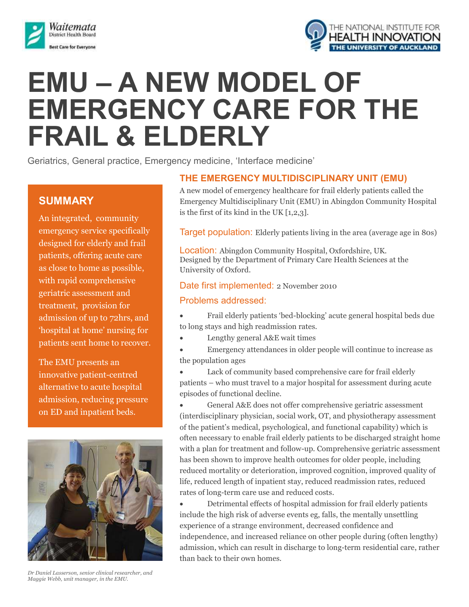



# **EMU – A NEW MODEL OF EMERGENCY CARE FOR THE FRAIL & ELDERLY**

Geriatrics, General practice, Emergency medicine, 'Interface medicine'

# **SUMMARY**

An integrated, community emergency service specifically designed for elderly and frail patients, offering acute care as close to home as possible, with rapid comprehensive geriatric assessment and treatment, provision for admission of up to 72hrs, and 'hospital at home' nursing for patients sent home to recover.

The EMU presents an innovative patient-centred alternative to acute hospital admission, reducing pressure on ED and inpatient beds.

beds.



*Dr Daniel Lasserson, senior clinical researcher, and Maggie Webb, unit manager, in the EMU.*

### **THE EMERGENCY MULTIDISCIPLINARY UNIT (EMU)**

A new model of emergency healthcare for frail elderly patients called the Emergency Multidisciplinary Unit (EMU) in Abingdon Community Hospital is the first of its kind in the UK [1,2,3].

Target population: Elderly patients living in the area (average age in 80s)

Location: Abingdon Community Hospital, Oxfordshire, UK. Designed by the Department of Primary Care Health Sciences at the University of Oxford.

#### Date first implemented: 2 November 2010

#### Problems addressed:

- Frail elderly patients 'bed-blocking' acute general hospital beds due to long stays and high readmission rates.
- Lengthy general A&E wait times
- Emergency attendances in older people will continue to increase as the population ages
- Lack of community based comprehensive care for frail elderly patients – who must travel to a major hospital for assessment during acute episodes of functional decline.
- General A&E does not offer comprehensive geriatric assessment (interdisciplinary physician, social work, OT, and physiotherapy assessment of the patient's medical, psychological, and functional capability) which is often necessary to enable frail elderly patients to be discharged straight home with a plan for treatment and follow-up. Comprehensive geriatric assessment has been shown to improve health outcomes for older people, including reduced mortality or deterioration, improved cognition, improved quality of life, reduced length of inpatient stay, reduced readmission rates, reduced rates of long-term care use and reduced costs.
- Detrimental effects of hospital admission for frail elderly patients include the high risk of adverse events eg, falls, the mentally unsettling experience of a strange environment, decreased confidence and independence, and increased reliance on other people during (often lengthy) admission, which can result in discharge to long-term residential care, rather than back to their own homes.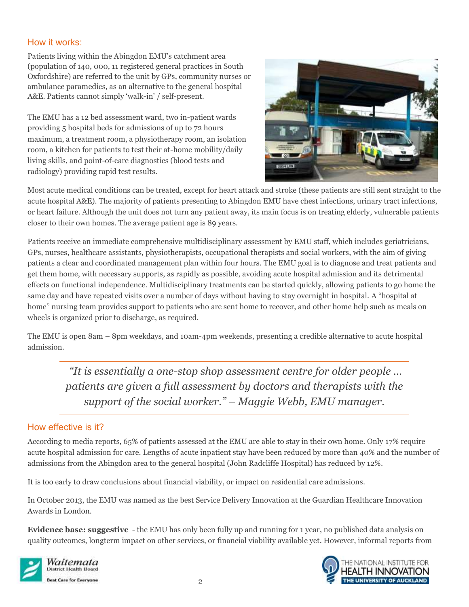#### How it works:

Patients living within the Abingdon EMU's catchment area (population of 140, 000, 11 registered general practices in South Oxfordshire) are referred to the unit by GPs, community nurses or ambulance paramedics, as an alternative to the general hospital A&E. Patients cannot simply 'walk-in' / self-present.

The EMU has a 12 bed assessment ward, two in-patient wards providing 5 hospital beds for admissions of up to 72 hours maximum, a treatment room, a physiotherapy room, an isolation room, a kitchen for patients to test their at-home mobility/daily living skills, and point-of-care diagnostics (blood tests and radiology) providing rapid test results.



Most acute medical conditions can be treated, except for heart attack and stroke (these patients are still sent straight to the acute hospital A&E). The majority of patients presenting to Abingdon EMU have chest infections, urinary tract infections, or heart failure. Although the unit does not turn any patient away, its main focus is on treating elderly, vulnerable patients closer to their own homes. The average patient age is 89 years.

Patients receive an immediate comprehensive multidisciplinary assessment by EMU staff, which includes geriatricians, GPs, nurses, healthcare assistants, physiotherapists, occupational therapists and social workers, with the aim of giving patients a clear and coordinated management plan within four hours. The EMU goal is to diagnose and treat patients and get them home, with necessary supports, as rapidly as possible, avoiding acute hospital admission and its detrimental effects on functional independence. Multidisciplinary treatments can be started quickly, allowing patients to go home the same day and have repeated visits over a number of days without having to stay overnight in hospital. A "hospital at home" nursing team provides support to patients who are sent home to recover, and other home help such as meals on wheels is organized prior to discharge, as required.

The EMU is open 8am – 8pm weekdays, and 10am-4pm weekends, presenting a credible alternative to acute hospital admission.

*"It is essentially a one-stop shop assessment centre for older people … patients are given a full assessment by doctors and therapists with the support of the social worker." – Maggie Webb, EMU manager.*

## How effective is it?

According to media reports, 65% of patients assessed at the EMU are able to stay in their own home. Only 17% require acute hospital admission for care. Lengths of acute inpatient stay have been reduced by more than 40% and the number of admissions from the Abingdon area to the general hospital (John Radcliffe Hospital) has reduced by 12%.

It is too early to draw conclusions about financial viability, or impact on residential care admissions.

In October 2013, the EMU was named as the best Service Delivery Innovation at the Guardian Healthcare Innovation Awards in London.

**Evidence base: suggestive** - the EMU has only been fully up and running for 1 year, no published data analysis on quality outcomes, longterm impact on other services, or financial viability available yet. However, informal reports from



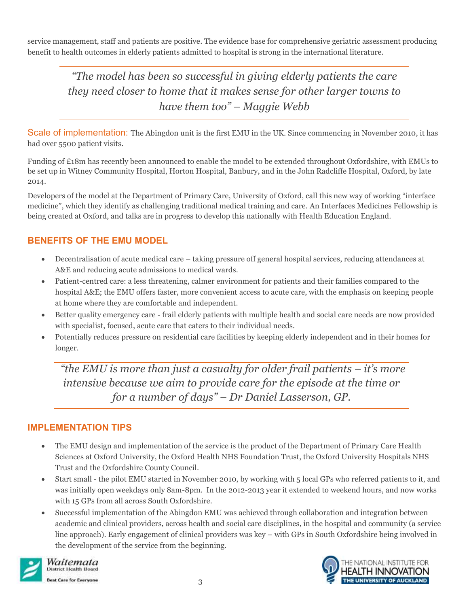service management, staff and patients are positive. The evidence base for comprehensive geriatric assessment producing benefit to health outcomes in elderly patients admitted to hospital is strong in the international literature.

*"The model has been so successful in giving elderly patients the care they need closer to home that it makes sense for other larger towns to have them too" – Maggie Webb*

Scale of implementation: The Abingdon unit is the first EMU in the UK. Since commencing in November 2010, it has had over 5500 patient visits.

Funding of £18m has recently been announced to enable the model to be extended throughout Oxfordshire, with EMUs to be set up in Witney Community Hospital, Horton Hospital, Banbury, and in the John Radcliffe Hospital, Oxford, by late 2014.

Developers of the model at the Department of Primary Care, University of Oxford, call this new way of working "interface medicine", which they identify as challenging traditional medical training and care. An Interfaces Medicines Fellowship is being created at Oxford, and talks are in progress to develop this nationally with Health Education England.

# **BENEFITS OF THE EMU MODEL**

- Decentralisation of acute medical care taking pressure off general hospital services, reducing attendances at A&E and reducing acute admissions to medical wards.
- Patient-centred care: a less threatening, calmer environment for patients and their families compared to the hospital A&E; the EMU offers faster, more convenient access to acute care, with the emphasis on keeping people at home where they are comfortable and independent.
- Better quality emergency care frail elderly patients with multiple health and social care needs are now provided with specialist, focused, acute care that caters to their individual needs.
- Potentially reduces pressure on residential care facilities by keeping elderly independent and in their homes for longer.

*"the EMU is more than just a casualty for older frail patients – it's more intensive because we aim to provide care for the episode at the time or for a number of days" – Dr Daniel Lasserson, GP.*

# **IMPLEMENTATION TIPS**

- The EMU design and implementation of the service is the product of the Department of Primary Care Health Sciences at Oxford University, the Oxford Health NHS Foundation Trust, the Oxford University Hospitals NHS Trust and the Oxfordshire County Council.
- Start small the pilot EMU started in November 2010, by working with 5 local GPs who referred patients to it, and was initially open weekdays only 8am-8pm. In the 2012-2013 year it extended to weekend hours, and now works with 15 GPs from all across South Oxfordshire.
- Successful implementation of the Abingdon EMU was achieved through collaboration and integration between academic and clinical providers, across health and social care disciplines, in the hospital and community (a service line approach). Early engagement of clinical providers was key – with GPs in South Oxfordshire being involved in the development of the service from the beginning.



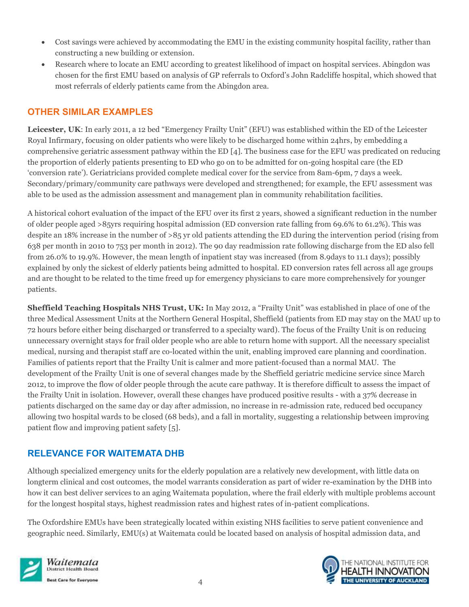- Cost savings were achieved by accommodating the EMU in the existing community hospital facility, rather than constructing a new building or extension.
- Research where to locate an EMU according to greatest likelihood of impact on hospital services. Abingdon was chosen for the first EMU based on analysis of GP referrals to Oxford's John Radcliffe hospital, which showed that most referrals of elderly patients came from the Abingdon area.

# **OTHER SIMILAR EXAMPLES**

**Leicester, UK**: In early 2011, a 12 bed "Emergency Frailty Unit" (EFU) was established within the ED of the Leicester Royal Infirmary, focusing on older patients who were likely to be discharged home within 24hrs, by embedding a comprehensive geriatric assessment pathway within the ED [4]. The business case for the EFU was predicated on reducing the proportion of elderly patients presenting to ED who go on to be admitted for on-going hospital care (the ED 'conversion rate'). Geriatricians provided complete medical cover for the service from 8am-6pm, 7 days a week. Secondary/primary/community care pathways were developed and strengthened; for example, the EFU assessment was able to be used as the admission assessment and management plan in community rehabilitation facilities.

A historical cohort evaluation of the impact of the EFU over its first 2 years, showed a significant reduction in the number of older people aged >85yrs requiring hospital admission (ED conversion rate falling from 69.6% to 61.2%). This was despite an 18% increase in the number of >85 yr old patients attending the ED during the intervention period (rising from 638 per month in 2010 to 753 per month in 2012). The 90 day readmission rate following discharge from the ED also fell from 26.0% to 19.9%. However, the mean length of inpatient stay was increased (from 8.9days to 11.1 days); possibly explained by only the sickest of elderly patients being admitted to hospital. ED conversion rates fell across all age groups and are thought to be related to the time freed up for emergency physicians to care more comprehensively for younger patients.

**Sheffield Teaching Hospitals NHS Trust, UK:** In May 2012, a "Frailty Unit" was established in place of one of the three Medical Assessment Units at the Northern General Hospital, Sheffield (patients from ED may stay on the MAU up to 72 hours before either being discharged or transferred to a specialty ward). The focus of the Frailty Unit is on reducing unnecessary overnight stays for frail older people who are able to return home with support. All the necessary specialist medical, nursing and therapist staff are co-located within the unit, enabling improved care planning and coordination. Families of patients report that the Frailty Unit is calmer and more patient-focused than a normal MAU. The development of the Frailty Unit is one of several changes made by the Sheffield geriatric medicine service since March 2012, to improve the flow of older people through the acute care pathway. It is therefore difficult to assess the impact of the Frailty Unit in isolation. However, overall these changes have produced positive results - with a 37% decrease in patients discharged on the same day or day after admission, no increase in re-admission rate, reduced bed occupancy allowing two hospital wards to be closed (68 beds), and a fall in mortality, suggesting a relationship between improving patient flow and improving patient safety [5].

# **RELEVANCE FOR WAITEMATA DHB**

Although specialized emergency units for the elderly population are a relatively new development, with little data on longterm clinical and cost outcomes, the model warrants consideration as part of wider re-examination by the DHB into how it can best deliver services to an aging Waitemata population, where the frail elderly with multiple problems account for the longest hospital stays, highest readmission rates and highest rates of in-patient complications.

The Oxfordshire EMUs have been strategically located within existing NHS facilities to serve patient convenience and geographic need. Similarly, EMU(s) at Waitemata could be located based on analysis of hospital admission data, and



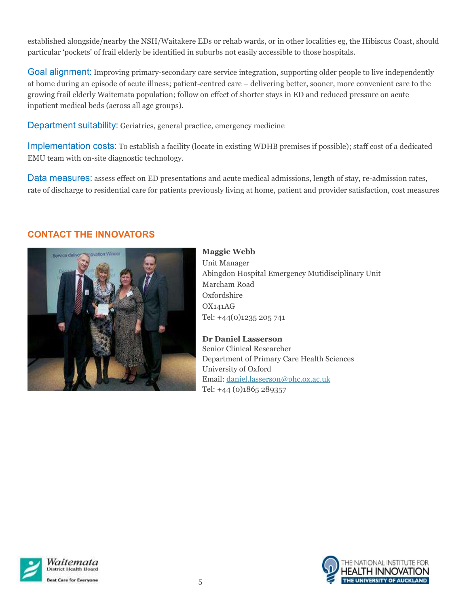established alongside/nearby the NSH/Waitakere EDs or rehab wards, or in other localities eg, the Hibiscus Coast, should particular 'pockets' of frail elderly be identified in suburbs not easily accessible to those hospitals.

Goal alignment: Improving primary-secondary care service integration, supporting older people to live independently at home during an episode of acute illness; patient-centred care – delivering better, sooner, more convenient care to the growing frail elderly Waitemata population; follow on effect of shorter stays in ED and reduced pressure on acute inpatient medical beds (across all age groups).

Department suitability: Geriatrics, general practice, emergency medicine

Implementation costs: To establish a facility (locate in existing WDHB premises if possible); staff cost of a dedicated EMU team with on-site diagnostic technology.

Data measures: assess effect on ED presentations and acute medical admissions, length of stay, re-admission rates, rate of discharge to residential care for patients previously living at home, patient and provider satisfaction, cost measures

### **CONTACT THE INNOVATORS**



**Maggie Webb** Unit Manager Abingdon Hospital Emergency Mutidisciplinary Unit Marcham Road Oxfordshire OX141AG Tel: +44(0)1235 205 741

**Dr Daniel Lasserson** Senior Clinical Researcher Department of Primary Care Health Sciences University of Oxford Email: [daniel.lasserson@phc.ox.ac.uk](mailto:daniel.lasserson@phc.ox.ac.uk) Tel: +44 (0)1865 289357